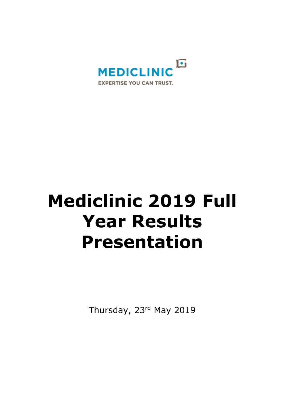

# **Mediclinic 2019 Full Year Results Presentation**

Thursday, 23rd May 2019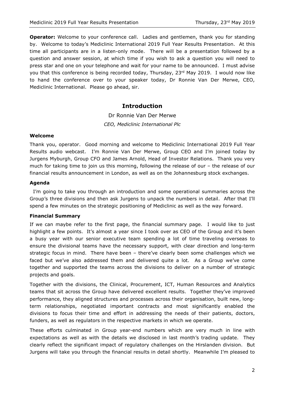**Operator:** Welcome to your conference call. Ladies and gentlemen, thank you for standing by. Welcome to today's Mediclinic International 2019 Full Year Results Presentation. At this time all participants are in a listen-only mode. There will be a presentation followed by a question and answer session, at which time if you wish to ask a question you will need to press star and one on your telephone and wait for your name to be announced. I must advise you that this conference is being recorded today, Thursday, 23<sup>rd</sup> May 2019. I would now like to hand the conference over to your speaker today, Dr Ronnie Van Der Merwe, CEO, Mediclinic International. Please go ahead, sir.

# **Introduction**

Dr Ronnie Van Der Merwe *CEO, Mediclinic International Plc*

## **Welcome**

Thank you, operator. Good morning and welcome to Mediclinic International 2019 Full Year Results audio webcast. I'm Ronnie Van Der Merwe, Group CEO and I'm joined today by Jurgens Myburgh, Group CFO and James Arnold, Head of Investor Relations. Thank you very much for taking time to join us this morning, following the release of our – the release of our financial results announcement in London, as well as on the Johannesburg stock exchanges.

## **Agenda**

 I'm going to take you through an introduction and some operational summaries across the Group's three divisions and then ask Jurgens to unpack the numbers in detail. After that I'll spend a few minutes on the strategic positioning of Mediclinic as well as the way forward.

#### **Financial Summary**

If we can maybe refer to the first page, the financial summary page. I would like to just highlight a few points. It's almost a year since I took over as CEO of the Group and it's been a busy year with our senior executive team spending a lot of time traveling overseas to ensure the divisional teams have the necessary support, with clear direction and long-term strategic focus in mind. There have been – there've clearly been some challenges which we faced but we've also addressed them and delivered quite a lot. As a Group we've come together and supported the teams across the divisions to deliver on a number of strategic projects and goals.

Together with the divisions, the Clinical, Procurement, ICT, Human Resources and Analytics teams that sit across the Group have delivered excellent results. Together they've improved performance, they aligned structures and processes across their organisation, built new, longterm relationships, negotiated important contracts and most significantly enabled the divisions to focus their time and effort in addressing the needs of their patients, doctors, funders, as well as regulators in the respective markets in which we operate.

These efforts culminated in Group year-end numbers which are very much in line with expectations as well as with the details we disclosed in last month's trading update. They clearly reflect the significant impact of regulatory challenges on the Hirslanden division. But Jurgens will take you through the financial results in detail shortly. Meanwhile I'm pleased to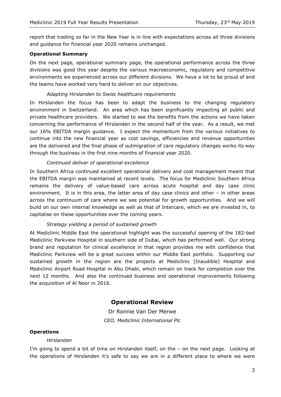report that trading so far in the New Year is in line with expectations across all three divisions and guidance for financial year 2020 remains unchanged.

## **Operational Summary**

On the next page, operational summary page, the operational performance across the three divisions was good this year despite the various macroeconomic, regulatory and competitive environments we experienced across our different divisions. We have a lot to be proud of and the teams have worked very hard to deliver on our objectives.

### *Adapting Hirslanden to Swiss healthcare requirements*

In Hirslanden the focus has been to adapt the business to the changing regulatory environment in Switzerland. An area which has been significantly impacting all public and private healthcare providers. We started to see the benefits from the actions we have taken concerning the performance of Hirslanden in the second half of the year. As a result, we met our 16% EBITDA margin guidance. I expect the momentum from the various initiatives to continue into the new financial year as cost savings, efficiencies and revenue opportunities are the delivered and the final phase of outmigration of care regulatory changes works its way through the business in the first nine months of financial year 2020.

## *Continued deliver of operational excellence*

In Southern Africa continued excellent operational delivery and cost management meant that the EBITDA margin was maintained at recent levels. The focus for Mediclinic Southern Africa remains the delivery of value-based care across acute hospital and day case clinic environment. It is in this area, the latter area of day case clinics and other – in other areas across the continuum of care where we see potential for growth opportunities. And we will build on our own internal knowledge as well as that of Intercare, which we are invested in, to capitalise on these opportunities over the coming years.

## *Strategy yielding a period of sustained growth*

At Mediclinic Middle East the operational highlight was the successful opening of the 182-bed Mediclinic Parkview Hospital in southern side of Dubai, which has performed well. Our strong brand and reputation for clinical excellence in that region provides me with confidence that Mediclinic Parkview will be a great success within our Middle East portfolio. Supporting our sustained growth in the region are the projects at Mediclinic [Inaudible] Hospital and Mediclinic Airport Road Hospital in Abu Dhabi, which remain on track for completion over the next 12 months. And also the continued business and operational improvements following the acquisition of Al Noor in 2016.

# **Operational Review**

Dr Ronnie Van Der Merwe *CEO, Mediclinic International Plc*

## **Operations**

#### *Hirslanden*

I'm going to spend a bit of time on Hirslanden itself, on the – on the next page. Looking at the operations of Hirslanden it's safe to say we are in a different place to where we were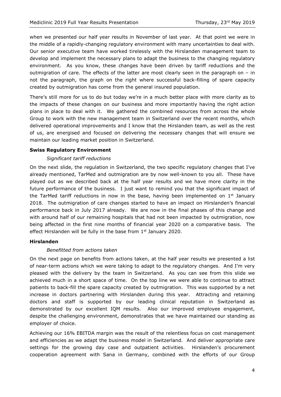when we presented our half year results in November of last year. At that point we were in the middle of a rapidly-changing regulatory environment with many uncertainties to deal with. Our senior executive team have worked tirelessly with the Hirslanden management team to develop and implement the necessary plans to adapt the business to the changing regulatory environment. As you know, these changes have been driven by tariff reductions and the outmigration of care. The effects of the latter are most clearly seen in the paragraph on – in not the paragraph, the graph on the right where successful back-filling of spare capacity created by outmigration has come from the general insured population.

There's still more for us to do but today we're in a much better place with more clarity as to the impacts of these changes on our business and more importantly having the right action plans in place to deal with it. We gathered the combined resources from across the whole Group to work with the new management team in Switzerland over the recent months, which delivered operational improvements and I know that the Hirslanden team, as well as the rest of us, are energised and focused on delivering the necessary changes that will ensure we maintain our leading market position in Switzerland.

## **Swiss Regulatory Environment**

## *Significant tariff reductions*

On the next slide, the regulation in Switzerland, the two specific regulatory changes that I've already mentioned, TarMed and outmigration are by now well-known to you all. These have played out as we described back at the half year results and we have more clarity in the future performance of the business. I just want to remind you that the significant impact of the TarMed tariff reductions in now in the base, having been implemented on  $1<sup>st</sup>$  January 2018. The outmigration of care changes started to have an impact on Hirslanden's financial performance back in July 2017 already. We are now in the final phases of this change and with around half of our remaining hospitals that had not been impacted by outmigration, now being affected in the first nine months of financial year 2020 on a comparative basis. The effect Hirslanden will be fully in the base from  $1<sup>st</sup>$  January 2020.

## **Hirslanden**

## *Benefitted from actions taken*

On the next page on benefits from actions taken, at the half year results we presented a list of near-term actions which we were taking to adapt to the regulatory changes. And I'm very pleased with the delivery by the team in Switzerland. As you can see from this slide we achieved much in a short space of time. On the top line we were able to continue to attract patients to back-fill the spare capacity created by outmigration. This was supported by a net increase in doctors partnering with Hirslanden during this year. Attracting and retaining doctors and staff is supported by our leading clinical reputation in Switzerland as demonstrated by our excellent IQM results. Also our improved employee engagement, despite the challenging environment, demonstrates that we have maintained our standing as employer of choice.

Achieving our 16% EBITDA margin was the result of the relentless focus on cost management and efficiencies as we adapt the business model in Switzerland. And deliver appropriate care settings for the growing day case and outpatient activities. Hirslanden's procurement cooperation agreement with Sana in Germany, combined with the efforts of our Group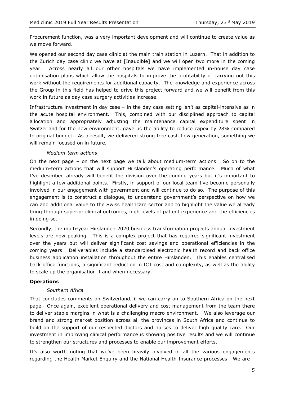Procurement function, was a very important development and will continue to create value as we move forward.

We opened our second day case clinic at the main train station in Luzern. That in addition to the Zurich day case clinic we have at [Inaudible] and we will open two more in the coming year. Across nearly all our other hospitals we have implemented in-house day case optimisation plans which allow the hospitals to improve the profitability of carrying out this work without the requirements for additional capacity. The knowledge and experience across the Group in this field has helped to drive this project forward and we will benefit from this work in future as day case surgery activities increase.

Infrastructure investment in day case – in the day case setting isn't as capital-intensive as in the acute hospital environment. This, combined with our disciplined approach to capital allocation and appropriately adjusting the maintenance capital expenditure spent in Switzerland for the new environment, gave us the ability to reduce capex by 28% compared to original budget. As a result, we delivered strong free cash flow generation, something we will remain focused on in future.

## *Medium-term actions*

On the next page – on the next page we talk about medium-term actions. So on to the medium-term actions that will support Hirslanden's operating performance. Much of what I've described already will benefit the division over the coming years but it's important to highlight a few additional points. Firstly, in support of our local team I've become personally involved in our engagement with government and will continue to do so. The purpose of this engagement is to construct a dialogue, to understand government's perspective on how we can add additional value to the Swiss healthcare sector and to highlight the value we already bring through superior clinical outcomes, high levels of patient experience and the efficiencies in doing so.

Secondly, the multi-year Hirslanden 2020 business transformation projects annual investment levels are now peaking. This is a complex project that has required significant investment over the years but will deliver significant cost savings and operational efficiencies in the coming years. Deliverables include a standardised electronic health record and back office business application installation throughout the entire Hirslanden. This enables centralised back office functions, a significant reduction in ICT cost and complexity, as well as the ability to scale up the organisation if and when necessary.

#### **Operations**

#### *Southern Africa*

That concludes comments on Switzerland, if we can carry on to Southern Africa on the next page. Once again, excellent operational delivery and cost management from the team there to deliver stable margins in what is a challenging macro environment. We also leverage our brand and strong market position across all the provinces in South Africa and continue to build on the support of our respected doctors and nurses to deliver high quality care. Our investment in improving clinical performance is showing positive results and we will continue to strengthen our structures and processes to enable our improvement efforts.

It's also worth noting that we've been heavily involved in all the various engagements regarding the Health Market Enquiry and the National Health Insurance processes. We are –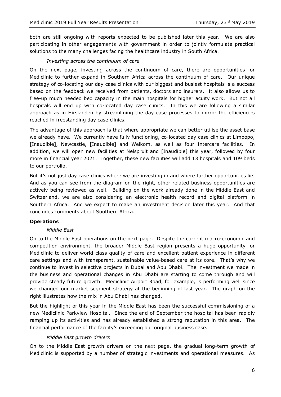both are still ongoing with reports expected to be published later this year. We are also participating in other engagements with government in order to jointly formulate practical solutions to the many challenges facing the healthcare industry in South Africa.

## *Investing across the continuum of care*

On the next page, investing across the continuum of care, there are opportunities for Mediclinic to further expand in Southern Africa across the continuum of care. Our unique strategy of co-locating our day case clinics with our biggest and busiest hospitals is a success based on the feedback we received from patients, doctors and insurers. It also allows us to free-up much needed bed capacity in the main hospitals for higher acuity work. But not all hospitals will end up with co-located day case clinics. In this we are following a similar approach as in Hirslanden by streamlining the day case processes to mirror the efficiencies reached in freestanding day case clinics.

The advantage of this approach is that where appropriate we can better utilise the asset base we already have. We currently have fully functioning, co-located day case clinics at Limpopo, [Inaudible], Newcastle, [Inaudible] and Welkom, as well as four Intercare facilities. In addition, we will open new facilities at Nelspruit and [Inaudible] this year, followed by four more in financial year 2021. Together, these new facilities will add 13 hospitals and 109 beds to our portfolio.

But it's not just day case clinics where we are investing in and where further opportunities lie. And as you can see from the diagram on the right, other related business opportunities are actively being reviewed as well. Building on the work already done in the Middle East and Switzerland, we are also considering an electronic health record and digital platform in Southern Africa. And we expect to make an investment decision later this year. And that concludes comments about Southern Africa.

#### **Operations**

#### *Middle East*

On to the Middle East operations on the next page. Despite the current macro-economic and competition environment, the broader Middle East region presents a huge opportunity for Mediclinic to deliver world class quality of care and excellent patient experience in different care settings and with transparent, sustainable value-based care at its core. That's why we continue to invest in selective projects in Dubai and Abu Dhabi. The investment we made in the business and operational changes in Abu Dhabi are starting to come through and will provide steady future growth. Mediclinic Airport Road, for example, is performing well since we changed our market segment strategy at the beginning of last year. The graph on the right illustrates how the mix in Abu Dhabi has changed.

But the highlight of this year in the Middle East has been the successful commissioning of a new Mediclinic Parkview Hospital. Since the end of September the hospital has been rapidly ramping up its activities and has already established a strong reputation in this area. The financial performance of the facility's exceeding our original business case.

#### *Middle East growth drivers*

On to the Middle East growth drivers on the next page, the gradual long-term growth of Mediclinic is supported by a number of strategic investments and operational measures. As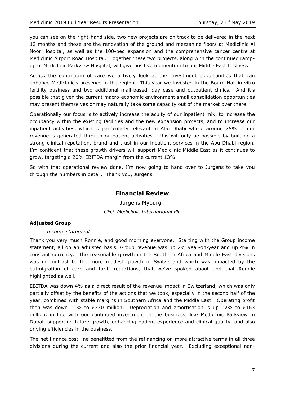you can see on the right-hand side, two new projects are on track to be delivered in the next 12 months and those are the renovation of the ground and mezzanine floors at Mediclinic Al Noor Hospital, as well as the 100-bed expansion and the comprehensive cancer centre at Mediclinic Airport Road Hospital. Together these two projects, along with the continued rampup of Mediclinic Parkview Hospital, will give positive momentum to our Middle East business.

Across the continuum of care we actively look at the investment opportunities that can enhance Mediclinic's presence in the region. This year we invested in the Bourn Hall in vitro fertility business and two additional mall-based, day case and outpatient clinics. And it's possible that given the current macro-economic environment small consolidation opportunities may present themselves or may naturally take some capacity out of the market over there.

Operationally our focus is to actively increase the acuity of our inpatient mix, to increase the occupancy within the existing facilities and the new expansion projects, and to increase our inpatient activities, which is particularly relevant in Abu Dhabi where around 75% of our revenue is generated through outpatient activities. This will only be possible by building a strong clinical reputation, brand and trust in our inpatient services in the Abu Dhabi region. I'm confident that these growth drivers will support Mediclinic Middle East as it continues to grow, targeting a 20% EBITDA margin from the current 13%.

So with that operational review done, I'm now going to hand over to Jurgens to take you through the numbers in detail. Thank you, Jurgens.

# **Financial Review**

Jurgens Myburgh *CFO, Mediclinic International Plc*

## **Adjusted Group**

#### *Income statement*

Thank you very much Ronnie, and good morning everyone. Starting with the Group income statement, all on an adjusted basis, Group revenue was up 2% year-on-year and up 4% in constant currency. The reasonable growth in the Southern Africa and Middle East divisions was in contrast to the more modest growth in Switzerland which was impacted by the outmigration of care and tariff reductions, that we've spoken about and that Ronnie highlighted as well.

EBITDA was down 4% as a direct result of the revenue impact in Switzerland, which was only partially offset by the benefits of the actions that we took, especially in the second half of the year, combined with stable margins in Southern Africa and the Middle East. Operating profit then was down 11% to £330 million. Depreciation and amortisation is up 12% to £163 million, in line with our continued investment in the business, like Mediclinic Parkview in Dubai, supporting future growth, enhancing patient experience and clinical quality, and also driving efficiencies in the business.

The net finance cost line benefitted from the refinancing on more attractive terms in all three divisions during the current and also the prior financial year. Excluding exceptional non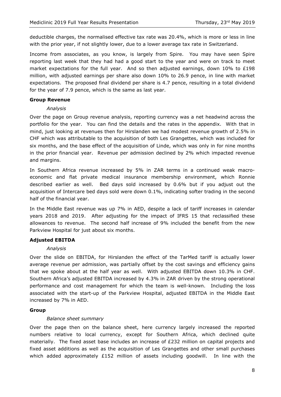deductible charges, the normalised effective tax rate was 20.4%, which is more or less in line with the prior year, if not slightly lower, due to a lower average tax rate in Switzerland.

Income from associates, as you know, is largely from Spire. You may have seen Spire reporting last week that they had had a good start to the year and were on track to meet market expectations for the full year. And so then adjusted earnings, down  $10\%$  to £198 million, with adjusted earnings per share also down 10% to 26.9 pence, in line with market expectations. The proposed final dividend per share is 4.7 pence, resulting in a total dividend for the year of 7.9 pence, which is the same as last year.

#### **Group Revenue**

#### *Analysis*

Over the page on Group revenue analysis, reporting currency was a net headwind across the portfolio for the year. You can find the details and the rates in the appendix. With that in mind, just looking at revenues then for Hirslanden we had modest revenue growth of 2.5% in CHF which was attributable to the acquisition of both Les Grangettes, which was included for six months, and the base effect of the acquisition of Linde, which was only in for nine months in the prior financial year. Revenue per admission declined by 2% which impacted revenue and margins.

In Southern Africa revenue increased by 5% in ZAR terms in a continued weak macroeconomic and flat private medical insurance membership environment, which Ronnie described earlier as well. Bed days sold increased by 0.6% but if you adjust out the acquisition of Intercare bed days sold were down 0.1%, indicating softer trading in the second half of the financial year.

In the Middle East revenue was up 7% in AED, despite a lack of tariff increases in calendar years 2018 and 2019. After adjusting for the impact of IFRS 15 that reclassified these allowances to revenue. The second half increase of 9% included the benefit from the new Parkview Hospital for just about six months.

#### **Adjusted EBITDA**

#### *Analysis*

Over the slide on EBITDA, for Hirslanden the effect of the TarMed tariff is actually lower average revenue per admission, was partially offset by the cost savings and efficiency gains that we spoke about at the half year as well. With adjusted EBITDA down 10.3% in CHF. Southern Africa's adjusted EBITDA increased by 4.3% in ZAR driven by the strong operational performance and cost management for which the team is well-known. Including the loss associated with the start-up of the Parkview Hospital, adjusted EBITDA in the Middle East increased by 7% in AED.

#### **Group**

#### *Balance sheet summary*

Over the page then on the balance sheet, here currency largely increased the reported numbers relative to local currency, except for Southern Africa, which declined quite materially. The fixed asset base includes an increase of £232 million on capital projects and fixed asset additions as well as the acquisition of Les Grangettes and other small purchases which added approximately  $E152$  million of assets including goodwill. In line with the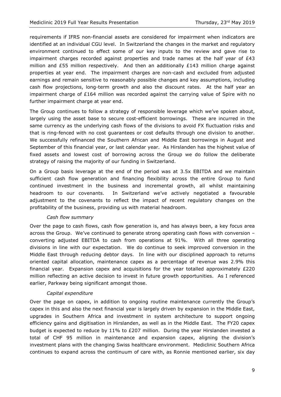requirements if IFRS non-financial assets are considered for impairment when indicators are identified at an individual CGU level. In Switzerland the changes in the market and regulatory environment continued to effect some of our key inputs to the review and gave rise to impairment charges recorded against properties and trade names at the half year of £43 million and £55 million respectively. And then an additionally  $£143$  million charge against properties at year end. The impairment charges are non-cash and excluded from adjusted earnings and remain sensitive to reasonably possible changes and key assumptions, including cash flow projections, long-term growth and also the discount rates. At the half year an impairment charge of £164 million was recorded against the carrying value of Spire with no further impairment charge at year end.

The Group continues to follow a strategy of responsible leverage which we've spoken about, largely using the asset base to secure cost-efficient borrowings. These are incurred in the same currency as the underlying cash flows of the divisions to avoid FX fluctuation risks and that is ring-fenced with no cost guarantees or cost defaults through one division to another. We successfully refinanced the Southern African and Middle East borrowings in August and September of this financial year, or last calendar year. As Hirslanden has the highest value of fixed assets and lowest cost of borrowing across the Group we do follow the deliberate strategy of raising the majority of our funding in Switzerland.

On a Group basis leverage at the end of the period was at 3.5x EBITDA and we maintain sufficient cash flow generation and financing flexibility across the entire Group to fund continued investment in the business and incremental growth, all whilst maintaining headroom to our covenants. In Switzerland we've actively negotiated a favourable adjustment to the covenants to reflect the impact of recent regulatory changes on the profitability of the business, providing us with material headroom.

#### *Cash flow summary*

Over the page to cash flows, cash flow generation is, and has always been, a key focus area across the Group. We've continued to generate strong operating cash flows with conversion – converting adjusted EBITDA to cash from operations at 91%. With all three operating divisions in line with our expectation. We do continue to seek improved conversion in the Middle East through reducing debtor days. In line with our disciplined approach to returns oriented capital allocation, maintenance capex as a percentage of revenue was 2.9% this financial year. Expansion capex and acquisitions for the year totalled approximately  $E220$ million reflecting an active decision to invest in future growth opportunities. As I referenced earlier, Parkway being significant amongst those.

## *Capital expenditure*

Over the page on capex, in addition to ongoing routine maintenance currently the Group's capex in this and also the next financial year is largely driven by expansion in the Middle East, upgrades in Southern Africa and investment in system architecture to support ongoing efficiency gains and digitisation in Hirslanden, as well as in the Middle East. The FY20 capex budget is expected to reduce by 11% to £207 million. During the year Hirslanden invested a total of CHF 95 million in maintenance and expansion capex, aligning the division's investment plans with the changing Swiss healthcare environment. Mediclinic Southern Africa continues to expand across the continuum of care with, as Ronnie mentioned earlier, six day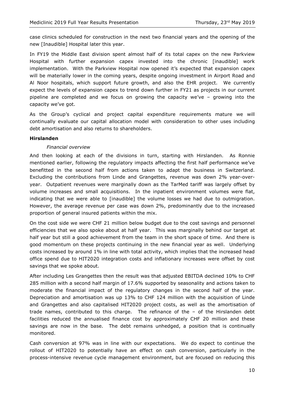case clinics scheduled for construction in the next two financial years and the opening of the new [Inaudible] Hospital later this year.

In FY19 the Middle East division spent almost half of its total capex on the new Parkview Hospital with further expansion capex invested into the chronic [inaudible] work implementation. With the Parkview Hospital now opened it's expected that expansion capex will be materially lower in the coming years, despite ongoing investment in Airport Road and Al Noor hospitals, which support future growth, and also the EHR project. We currently expect the levels of expansion capex to trend down further in FY21 as projects in our current pipeline are completed and we focus on growing the capacity we've – growing into the capacity we've got.

As the Group's cyclical and project capital expenditure requirements mature we will continually evaluate our capital allocation model with consideration to other uses including debt amortisation and also returns to shareholders.

#### **Hirslanden**

## *Financial overview*

And then looking at each of the divisions in turn, starting with Hirslanden. As Ronnie mentioned earlier, following the regulatory impacts affecting the first half performance we've benefitted in the second half from actions taken to adapt the business in Switzerland. Excluding the contributions from Linde and Grangettes, revenue was down 2% year-overyear. Outpatient revenues were marginally down as the TarMed tariff was largely offset by volume increases and small acquisitions. In the inpatient environment volumes were flat, indicating that we were able to [inaudible] the volume losses we had due to outmigration. However, the average revenue per case was down 2%, predominantly due to the increased proportion of general insured patients within the mix.

On the cost side we were CHF 21 million below budget due to the cost savings and personnel efficiencies that we also spoke about at half year. This was marginally behind our target at half year but still a good achievement from the team in the short space of time. And there is good momentum on these projects continuing in the new financial year as well. Underlying costs increased by around 1% in line with total activity, which implies that the increased head office spend due to HIT2020 integration costs and inflationary increases were offset by cost savings that we spoke about.

After including Les Grangettes then the result was that adjusted EBITDA declined 10% to CHF 285 million with a second half margin of 17.6% supported by seasonality and actions taken to moderate the financial impact of the regulatory changes in the second half of the year. Depreciation and amortisation was up 13% to CHF 124 million with the acquisition of Linde and Grangettes and also capitalised HIT2020 project costs, as well as the amortisation of trade names, contributed to this charge. The refinance of the – of the Hirslanden debt facilities reduced the annualised finance cost by approximately CHF 20 million and these savings are now in the base. The debt remains unhedged, a position that is continually monitored.

Cash conversion at 97% was in line with our expectations. We do expect to continue the rollout of HIT2020 to potentially have an effect on cash conversion, particularly in the process-intensive revenue cycle management environment, but are focused on reducing this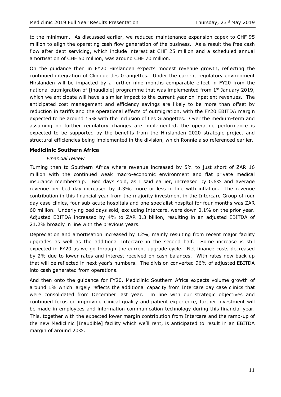to the minimum. As discussed earlier, we reduced maintenance expansion capex to CHF 95 million to align the operating cash flow generation of the business. As a result the free cash flow after debt servicing, which include interest at CHF 25 million and a scheduled annual amortisation of CHF 50 million, was around CHF 70 million.

On the guidance then in FY20 Hirslanden expects modest revenue growth, reflecting the continued integration of Clinique des Grangettes. Under the current regulatory environment Hirslanden will be impacted by a further nine months comparable effect in FY20 from the national outmigration of [inaudible] programme that was implemented from 1<sup>st</sup> January 2019, which we anticipate will have a similar impact to the current year on inpatient revenues. The anticipated cost management and efficiency savings are likely to be more than offset by reduction in tariffs and the operational effects of outmigration, with the FY20 EBITDA margin expected to be around 15% with the inclusion of Les Grangettes. Over the medium-term and assuming no further regulatory changes are implemented, the operating performance is expected to be supported by the benefits from the Hirslanden 2020 strategic project and structural efficiencies being implemented in the division, which Ronnie also referenced earlier.

## **Mediclinic Southern Africa**

#### *Financial review*

Turning then to Southern Africa where revenue increased by 5% to just short of ZAR 16 million with the continued weak macro-economic environment and flat private medical insurance membership. Bed days sold, as I said earlier, increased by 0.6% and average revenue per bed day increased by 4.3%, more or less in line with inflation. The revenue contribution in this financial year from the majority investment in the Intercare Group of four day case clinics, four sub-acute hospitals and one specialist hospital for four months was ZAR 60 million. Underlying bed days sold, excluding Intercare, were down 0.1% on the prior year. Adjusted EBITDA increased by 4% to ZAR 3.3 billion, resulting in an adjusted EBITDA of 21.2% broadly in line with the previous years.

Depreciation and amortisation increased by 12%, mainly resulting from recent major facility upgrades as well as the additional Intercare in the second half. Some increase is still expected in FY20 as we go through the current upgrade cycle. Net finance costs decreased by 2% due to lower rates and interest received on cash balances. With rates now back up that will be reflected in next year's numbers. The division converted 96% of adjusted EBITDA into cash generated from operations.

And then onto the guidance for FY20, Mediclinic Southern Africa expects volume growth of around 1% which largely reflects the additional capacity from Intercare day case clinics that were consolidated from December last year. In line with our strategic objectives and continued focus on improving clinical quality and patient experience, further investment will be made in employees and information communication technology during this financial year. This, together with the expected lower margin contribution from Intercare and the ramp-up of the new Mediclinic [Inaudible] facility which we'll rent, is anticipated to result in an EBITDA margin of around 20%.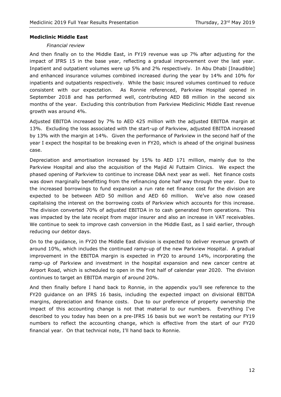## **Mediclinic Middle East**

#### *Financial review*

And then finally on to the Middle East, in FY19 revenue was up 7% after adjusting for the impact of IFRS 15 in the base year, reflecting a gradual improvement over the last year. Inpatient and outpatient volumes were up 5% and 2% respectively. In Abu Dhabi [Inaudible] and enhanced insurance volumes combined increased during the year by 14% and 10% for inpatients and outpatients respectively. While the basic insured volumes continued to reduce consistent with our expectation. As Ronnie referenced, Parkview Hospital opened in September 2018 and has performed well, contributing AED 88 million in the second six months of the year. Excluding this contribution from Parkview Mediclinic Middle East revenue growth was around 4%.

Adjusted EBITDA increased by 7% to AED 425 million with the adjusted EBITDA margin at 13%. Excluding the loss associated with the start-up of Parkview, adjusted EBITDA increased by 13% with the margin at 14%. Given the performance of Parkview in the second half of the year I expect the hospital to be breaking even in FY20, which is ahead of the original business case.

Depreciation and amortisation increased by 15% to AED 171 million, mainly due to the Parkview Hospital and also the acquisition of the Majid Al Futtaim Clinics. We expect the phased opening of Parkview to continue to increase D&A next year as well. Net finance costs was down marginally benefitting from the refinancing done half way through the year. Due to the increased borrowings to fund expansion a run rate net finance cost for the division are expected to be between AED 50 million and AED 60 million. We've also now ceased capitalising the interest on the borrowing costs of Parkview which accounts for this increase. The division converted 70% of adjusted EBITDA in to cash generated from operations. This was impacted by the late receipt from major insurer and also an increase in VAT receivables. We continue to seek to improve cash conversion in the Middle East, as I said earlier, through reducing our debtor days.

On to the guidance, in FY20 the Middle East division is expected to deliver revenue growth of around 10%, which includes the continued ramp-up of the new Parkview Hospital. A gradual improvement in the EBITDA margin is expected in FY20 to around 14%, incorporating the ramp-up of Parkview and investment in the hospital expansion and new cancer centre at Airport Road, which is scheduled to open in the first half of calendar year 2020. The division continues to target an EBITDA margin of around 20%.

And then finally before I hand back to Ronnie, in the appendix you'll see reference to the FY20 guidance on an IFRS 16 basis, including the expected impact on divisional EBITDA margins, depreciation and finance costs. Due to our preference of property ownership the impact of this accounting change is not that material to our numbers. Everything I've described to you today has been on a pre-IFRS 16 basis but we won't be restating our FY19 numbers to reflect the accounting change, which is effective from the start of our FY20 financial year. On that technical note, I'll hand back to Ronnie.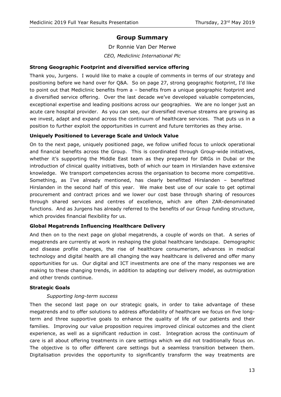# **Group Summary**

Dr Ronnie Van Der Merwe *CEO, Mediclinic International Plc*

## **Strong Geographic Footprint and diversified service offering**

Thank you, Jurgens. I would like to make a couple of comments in terms of our strategy and positioning before we hand over for Q&A. So on page 27, strong geographic footprint, I'd like to point out that Mediclinic benefits from a – benefits from a unique geographic footprint and a diversified service offering. Over the last decade we've developed valuable competencies, exceptional expertise and leading positions across our geographies. We are no longer just an acute care hospital provider. As you can see, our diversified revenue streams are growing as we invest, adapt and expand across the continuum of healthcare services. That puts us in a position to further exploit the opportunities in current and future territories as they arise.

## **Uniquely Positioned to Leverage Scale and Unlock Value**

On to the next page, uniquely positioned page, we follow unified focus to unlock operational and financial benefits across the Group. This is coordinated through Group-wide initiatives, whether it's supporting the Middle East team as they prepared for DRGs in Dubai or the introduction of clinical quality initiatives, both of which our team in Hirslanden have extensive knowledge. We transport competencies across the organisation to become more competitive. Something, as I've already mentioned, has clearly benefitted Hirslanden – benefitted Hirslanden in the second half of this year. We make best use of our scale to get optimal procurement and contract prices and we lower our cost base through sharing of resources through shared services and centres of excellence, which are often ZAR-denominated functions. And as Jurgens has already referred to the benefits of our Group funding structure, which provides financial flexibility for us.

## **Global Megatrends Influencing Healthcare Delivery**

And then on to the next page on global megatrends, a couple of words on that. A series of megatrends are currently at work in reshaping the global healthcare landscape. Demographic and disease profile changes, the rise of healthcare consumerism, advances in medical technology and digital health are all changing the way healthcare is delivered and offer many opportunities for us. Our digital and ICT investments are one of the many responses we are making to these changing trends, in addition to adapting our delivery model, as outmigration and other trends continue.

#### **Strategic Goals**

#### *Supporting long-term success*

Then the second last page on our strategic goals, in order to take advantage of these megatrends and to offer solutions to address affordability of healthcare we focus on five longterm and three supportive goals to enhance the quality of life of our patients and their families. Improving our value proposition requires improved clinical outcomes and the client experience, as well as a significant reduction in cost. Integration across the continuum of care is all about offering treatments in care settings which we did not traditionally focus on. The objective is to offer different care settings but a seamless transition between them. Digitalisation provides the opportunity to significantly transform the way treatments are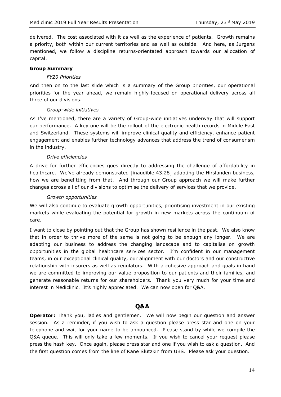delivered. The cost associated with it as well as the experience of patients. Growth remains a priority, both within our current territories and as well as outside. And here, as Jurgens mentioned, we follow a discipline returns-orientated approach towards our allocation of capital.

### **Group Summary**

### *FY20 Priorities*

And then on to the last slide which is a summary of the Group priorities, our operational priorities for the year ahead, we remain highly-focused on operational delivery across all three of our divisions.

## *Group-wide initiatives*

As I've mentioned, there are a variety of Group-wide initiatives underway that will support our performance. A key one will be the rollout of the electronic health records in Middle East and Switzerland. These systems will improve clinical quality and efficiency, enhance patient engagement and enables further technology advances that address the trend of consumerism in the industry.

## *Drive efficiencies*

A drive for further efficiencies goes directly to addressing the challenge of affordability in healthcare. We've already demonstrated [inaudible 43.28] adapting the Hirslanden business, how we are benefitting from that. And through our Group approach we will make further changes across all of our divisions to optimise the delivery of services that we provide.

## *Growth opportunities*

We will also continue to evaluate growth opportunities, prioritising investment in our existing markets while evaluating the potential for growth in new markets across the continuum of care.

I want to close by pointing out that the Group has shown resilience in the past. We also know that in order to thrive more of the same is not going to be enough any longer. We are adapting our business to address the changing landscape and to capitalise on growth opportunities in the global healthcare services sector. I'm confident in our management teams, in our exceptional clinical quality, our alignment with our doctors and our constructive relationship with insurers as well as regulators. With a cohesive approach and goals in hand we are committed to improving our value proposition to our patients and their families, and generate reasonable returns for our shareholders. Thank you very much for your time and interest in Mediclinic. It's highly appreciated. We can now open for Q&A.

## **Q&A**

**Operator:** Thank you, ladies and gentlemen. We will now begin our question and answer session. As a reminder, if you wish to ask a question please press star and one on your telephone and wait for your name to be announced. Please stand by while we compile the Q&A queue. This will only take a few moments. If you wish to cancel your request please press the hash key. Once again, please press star and one if you wish to ask a question. And the first question comes from the line of Kane Slutzkin from UBS. Please ask your question.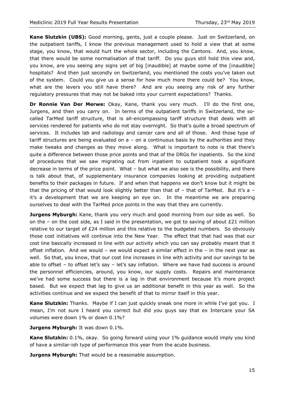**Kane Slutzkin (UBS):** Good morning, gents, just a couple please. Just on Switzerland, on the outpatient tariffs, I know the previous management used to hold a view that at some stage, you know, that would hurt the whole sector, including the Cantons. And, you know, that there would be some normalisation of that tariff. Do you guys still hold this view and, you know, are you seeing any signs yet of big [inaudible] at maybe some of the [inaudible] hospitals? And then just secondly on Switzerland, you mentioned the costs you've taken out of the system. Could you give us a sense for how much more there could be? You know, what are the levers you still have there? And are you seeing any risk of any further regulatory pressures that may not be baked into your current expectations? Thanks.

**Dr Ronnie Van Der Merwe:** Okay, Kane, thank you very much. I'll do the first one, Jurgens, and then you carry on. In terms of the outpatient tariffs in Switzerland, the socalled TarMed tariff structure, that is all-encompassing tariff structure that deals with all services rendered for patients who do not stay overnight. So that's quite a broad spectrum of services. It includes lab and radiology and cancer care and all of those. And those type of tariff structures are being evaluated on  $a -$  on a continuous basis by the authorities and they make tweaks and changes as they move along. What is important to note is that there's quite a difference between those price points and that of the DRGs for inpatients. So the kind of procedures that we saw migrating out from inpatient to outpatient took a significant decrease in terms of the price point. What – but what we also see is the possibility, and there is talk about that, of supplementary insurance companies looking at providing outpatient benefits to their packages in future. If and when that happens we don't know but it might be that the pricing of that would look slightly better than that of  $-$  that of TarMed. But it's a  $$ it's a development that we are keeping an eye on. In the meantime we are preparing ourselves to deal with the TarMed price points in the way that they are currently.

**Jurgens Myburgh:** Kane, thank you very much and good morning from our side as well. So on the – on the cost side, as I said in the presentation, we got to saving of about  $E21$  million relative to our target of  $E24$  million and this relative to the budgeted numbers. So obviously those cost initiatives will continue into the New Year. The effect that that had was that our cost line basically increased in line with our activity which you can say probably meant that it offset inflation. And we would – we would expect a similar effect in the – in the next year as well. So that, you know, that our cost line increases in line with activity and our savings to be able to offset – to offset let's say – let's say inflation. Where we have had success is around the personnel efficiencies, around, you know, our supply costs. Repairs and maintenance we've had some success but there is a lag in that environment because it's more project based. But we expect that lag to give us an additional benefit in this year as well. So the activities continue and we expect the benefit of that to mirror itself in this year.

**Kane Slutzkin:** Thanks. Maybe if I can just quickly sneak one more in while I've got you. I mean, I'm not sure I heard you correct but did you guys say that ex Intercare your SA volumes were down 1% or down 0.1%?

**Jurgens Myburgh:** It was down 0.1%.

**Kane Slutzkin:** 0.1%, okay. So going forward using your 1% guidance would imply you kind of have a similar-ish type of performance this year from the acute business.

**Jurgens Myburgh:** That would be a reasonable assumption.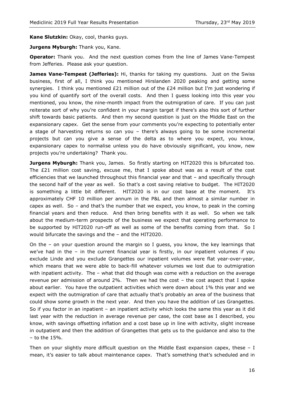**Kane Slutzkin:** Okay, cool, thanks guys.

**Jurgens Myburgh:** Thank you, Kane.

**Operator:** Thank you. And the next question comes from the line of James Vane-Tempest from Jefferies. Please ask your question.

**James Vane-Tempest (Jefferies):** Hi, thanks for taking my questions. Just on the Swiss business, first of all, I think you mentioned Hirslanden 2020 peaking and getting some synergies. I think you mentioned £21 million out of the £24 million but I'm just wondering if you kind of quantify sort of the overall costs. And then I guess looking into this year you mentioned, you know, the nine-month impact from the outmigration of care. If you can just reiterate sort of why you're confident in your margin target if there's also this sort of further shift towards basic patients. And then my second question is just on the Middle East on the expansionary capex. Get the sense from your comments you're expecting to potentially enter a stage of harvesting returns so can you – there's always going to be some incremental projects but can you give a sense of the delta as to where you expect, you know, expansionary capex to normalise unless you do have obviously significant, you know, new projects you're undertaking? Thank you.

**Jurgens Myburgh:** Thank you, James. So firstly starting on HIT2020 this is bifurcated too. The £21 million cost saving, excuse me, that I spoke about was as a result of the cost efficiencies that we launched throughout this financial year and that – and specifically through the second half of the year as well. So that's a cost saving relative to budget. The HIT2020 is something a little bit different. HIT2020 is in our cost base at the moment. It's approximately CHF 10 million per annum in the P&L and then almost a similar number in capex as well. So  $-$  and that's the number that we expect, you know, to peak in the coming financial years and then reduce. And then bring benefits with it as well. So when we talk about the medium-term prospects of the business we expect that operating performance to be supported by HIT2020 run-off as well as some of the benefits coming from that. So I would bifurcate the savings and the – and the HIT2020.

On the – on your question around the margin so I guess, you know, the key learnings that we've had in the – in the current financial year is firstly, in our inpatient volumes if you exclude Linde and you exclude Grangettes our inpatient volumes were flat year-over-year, which means that we were able to back-fill whatever volumes we lost due to outmigration with inpatient activity. The – what that did though was come with a reduction on the average revenue per admission of around 2%. Then we had the cost – the cost aspect that I spoke about earlier. You have the outpatient activities which were down about 1% this year and we expect with the outmigration of care that actually that's probably an area of the business that could show some growth in the next year. And then you have the addition of Les Grangettes. So if you factor in an inpatient – an inpatient activity which looks the same this year as it did last year with the reduction in average revenue per case, the cost base as I described, you know, with savings offsetting inflation and a cost base up in line with activity, slight increase in outpatient and then the addition of Grangettes that gets us to the guidance and also to the  $-$  to the 15%.

Then on your slightly more difficult question on the Middle East expansion capex, these  $- I$ mean, it's easier to talk about maintenance capex. That's something that's scheduled and in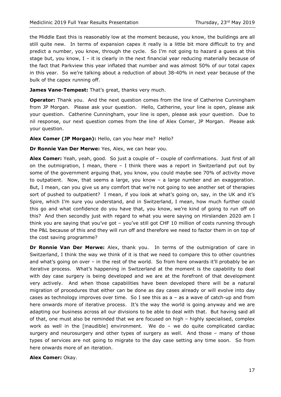the Middle East this is reasonably low at the moment because, you know, the buildings are all still quite new. In terms of expansion capex it really is a little bit more difficult to try and predict a number, you know, through the cycle. So I'm not going to hazard a guess at this stage but, you know, I – it is clearly in the next financial year reducing materially because of the fact that Parkview this year inflated that number and was almost 50% of our total capex in this year. So we're talking about a reduction of about 38-40% in next year because of the bulk of the capex running off.

James Vane-Tempest: That's great, thanks very much.

**Operator:** Thank you. And the next question comes from the line of Catherine Cunningham from JP Morgan. Please ask your question. Hello, Catherine, your line is open, please ask your question. Catherine Cunningham, your line is open, please ask your question. Due to nil response, our next question comes from the line of Alex Comer, JP Morgan. Please ask your question.

**Alex Comer (JP Morgan):** Hello, can you hear me? Hello?

**Dr Ronnie Van Der Merwe:** Yes, Alex, we can hear you.

**Alex Comer:** Yeah, yeah, good. So just a couple of – couple of confirmations. Just first of all on the outmigration, I mean, there  $-$  I think there was a report in Switzerland put out by some of the government arguing that, you know, you could maybe see 70% of activity move to outpatient. Now, that seems a large, you know – a large number and an exaggeration. But, I mean, can you give us any comfort that we're not going to see another set of therapies sort of pushed to outpatient? I mean, if you look at what's going on, say, in the UK and it's Spire, which I'm sure you understand, and in Switzerland, I mean, how much further could this go and what confidence do you have that, you know, we're kind of going to run off on this? And then secondly just with regard to what you were saying on Hirslanden 2020 am I think you are saying that you've got – you've still got CHF 10 million of costs running through the P&L because of this and they will run off and therefore we need to factor them in on top of the cost saving programme?

**Dr Ronnie Van Der Merwe:** Alex, thank you. In terms of the outmigration of care in Switzerland, I think the way we think of it is that we need to compare this to other countries and what's going on over – in the rest of the world. So from here onwards it'll probably be an iterative process. What's happening in Switzerland at the moment is the capability to deal with day case surgery is being developed and we are at the forefront of that development very actively. And when those capabilities have been developed there will be a natural migration of procedures that either can be done as day cases already or will evolve into day cases as technology improves over time. So I see this as  $a - as a$  wave of catch-up and from here onwards more of iterative process. It's the way the world is going anyway and we are adapting our business across all our divisions to be able to deal with that. But having said all of that, one must also be reminded that we are focused on high – highly specialised, complex work as well in the [inaudible] environment. We do – we do quite complicated cardiac surgery and neurosurgery and other types of surgery as well. And those – many of those types of services are not going to migrate to the day case setting any time soon. So from here onwards more of an iteration.

**Alex Comer:** Okay.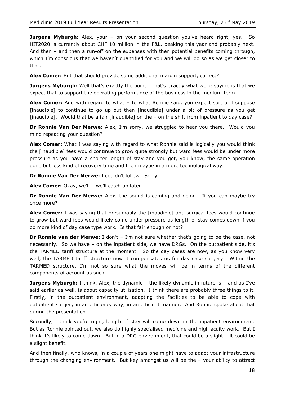**Jurgens Myburgh:** Alex, your - on your second question you've heard right, yes. So HIT2020 is currently about CHF 10 million in the P&L, peaking this year and probably next. And then – and then a run-off on the expenses with then potential benefits coming through, which I'm conscious that we haven't quantified for you and we will do so as we get closer to that.

**Alex Comer:** But that should provide some additional margin support, correct?

**Jurgens Myburgh:** Well that's exactly the point. That's exactly what we're saying is that we expect that to support the operating performance of the business in the medium-term.

**Alex Comer:** And with regard to what – to what Ronnie said, you expect sort of I suppose [inaudible] to continue to go up but then [inaudible] under a bit of pressure as you get [inaudible]. Would that be a fair [inaudible] on the – on the shift from inpatient to day case?

**Dr Ronnie Van Der Merwe:** Alex, I'm sorry, we struggled to hear you there. Would you mind repeating your question?

**Alex Comer:** What I was saying with regard to what Ronnie said is logically you would think the [inaudible] fees would continue to grow quite strongly but ward fees would be under more pressure as you have a shorter length of stay and you get, you know, the same operation done but less kind of recovery time and then maybe in a more technological way.

**Dr Ronnie Van Der Merwe:** I couldn't follow. Sorry.

**Alex Comer:** Okay, we'll – we'll catch up later.

**Dr Ronnie Van Der Merwe:** Alex, the sound is coming and going. If you can maybe try once more?

**Alex Comer:** I was saying that presumably the [inaudible] and surgical fees would continue to grow but ward fees would likely come under pressure as length of stay comes down if you do more kind of day case type work. Is that fair enough or not?

**Dr Ronnie van der Merwe:** I don't – I'm not sure whether that's going to be the case, not necessarily. So we have – on the inpatient side, we have DRGs. On the outpatient side, it's the TARMED tariff structure at the moment. So the day cases are now, as you know very well, the TARMED tariff structure now it compensates us for day case surgery. Within the TARMED structure, I'm not so sure what the moves will be in terms of the different components of account as such.

**Jurgens Myburgh:** I think, Alex, the dynamic – the likely dynamic in future is – and as I've said earlier as well, is about capacity utilisation. I think there are probably three things to it. Firstly, in the outpatient environment, adapting the facilities to be able to cope with outpatient surgery in an efficiency way, in an efficient manner. And Ronnie spoke about that during the presentation.

Secondly, I think you're right, length of stay will come down in the inpatient environment. But as Ronnie pointed out, we also do highly specialised medicine and high acuity work. But I think it's likely to come down. But in a DRG environment, that could be a slight – it could be a slight benefit.

And then finally, who knows, in a couple of years one might have to adapt your infrastructure through the changing environment. But key amongst us will be the – your ability to attract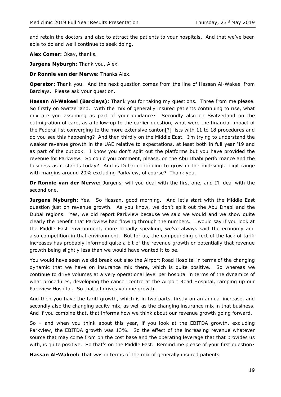and retain the doctors and also to attract the patients to your hospitals. And that we've been able to do and we'll continue to seek doing.

**Alex Comer:** Okay, thanks.

**Jurgens Myburgh: Thank you, Alex.** 

**Dr Ronnie van der Merwe:** Thanks Alex.

**Operator:** Thank you. And the next question comes from the line of Hassan Al-Wakeel from Barclays. Please ask your question.

**Hassan Al-Wakeel (Barclays):** Thank you for taking my questions. Three from me please. So firstly on Switzerland. With the mix of generally insured patients continuing to rise, what mix are you assuming as part of your guidance? Secondly also on Switzerland on the outmigration of care, as a follow-up to the earlier question, what were the financial impact of the Federal list converging to the more extensive canton[?] lists with 11 to 18 procedures and do you see this happening? And then thirdly on the Middle East. I'm trying to understand the weaker revenue growth in the UAE relative to expectations, at least both in full year '19 and as part of the outlook. I know you don't split out the platforms but you have provided the revenue for Parkview. So could you comment, please, on the Abu Dhabi performance and the business as it stands today? And is Dubai continuing to grow in the mid-single digit range with margins around 20% excluding Parkview, of course? Thank you.

**Dr Ronnie van der Merwe:** Jurgens, will you deal with the first one, and I'll deal with the second one.

Jurgens Myburgh: Yes. So Hassan, good morning. And let's start with the Middle East question just on revenue growth. As you know, we don't split out the Abu Dhabi and the Dubai regions. Yes, we did report Parkview because we said we would and we show quite clearly the benefit that Parkview had flowing through the numbers. I would say if you look at the Middle East environment, more broadly speaking, we've always said the economy and also competition in that environment. But for us, the compounding effect of the lack of tariff increases has probably informed quite a bit of the revenue growth or potentially that revenue growth being slightly less than we would have wanted it to be.

You would have seen we did break out also the Airport Road Hospital in terms of the changing dynamic that we have on insurance mix there, which is quite positive. So whereas we continue to drive volumes at a very operational level per hospital in terms of the dynamics of what procedures, developing the cancer centre at the Airport Road Hospital, ramping up our Parkview Hospital. So that all drives volume growth.

And then you have the tariff growth, which is in two parts, firstly on an annual increase, and secondly also the changing acuity mix, as well as the changing insurance mix in that business. And if you combine that, that informs how we think about our revenue growth going forward.

So – and when you think about this year, if you look at the EBITDA growth, excluding Parkview, the EBITDA growth was 13%. So the effect of the increasing revenue whatever source that may come from on the cost base and the operating leverage that that provides us with, is quite positive. So that's on the Middle East. Remind me please of your first question?

**Hassan Al-Wakeel:** That was in terms of the mix of generally insured patients.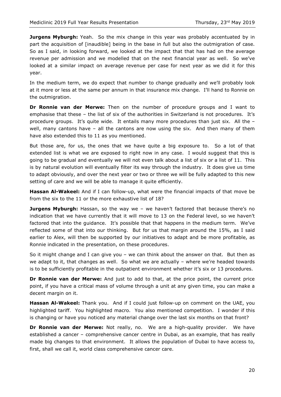**Jurgens Myburgh:** Yeah. So the mix change in this year was probably accentuated by in part the acquisition of [inaudible] being in the base in full but also the outmigration of case. So as I said, in looking forward, we looked at the impact that that has had on the average revenue per admission and we modelled that on the next financial year as well. So we've looked at a similar impact on average revenue per case for next year as we did it for this year.

In the medium term, we do expect that number to change gradually and we'll probably look at it more or less at the same per annum in that insurance mix change. I'll hand to Ronnie on the outmigration.

**Dr Ronnie van der Merwe:** Then on the number of procedure groups and I want to emphasise that these – the list of six of the authorities in Switzerland is not procedures. It's procedure groups. It's quite wide. It entails many more procedures than just six. All the – well, many cantons have - all the cantons are now using the six. And then many of them have also extended this to 11 as you mentioned.

But those are, for us, the ones that we have quite a big exposure to. So a lot of that extended list is what we are exposed to right now in any case. I would suggest that this is going to be gradual and eventually we will not even talk about a list of six or a list of 11. This is by natural evolution will eventually filter its way through the industry. It does give us time to adapt obviously, and over the next year or two or three we will be fully adapted to this new setting of care and we will be able to manage it quite efficiently.

**Hassan Al-Wakeel:** And if I can follow-up, what were the financial impacts of that move be from the six to the 11 or the more exhaustive list of 18?

**Jurgens Myburgh:** Hassan, so the way we - we haven't factored that because there's no indication that we have currently that it will move to 13 on the Federal level, so we haven't factored that into the guidance. It's possible that that happens in the medium term. We've reflected some of that into our thinking. But for us that margin around the 15%, as I said earlier to Alex, will then be supported by our initiatives to adapt and be more profitable, as Ronnie indicated in the presentation, on these procedures.

So it might change and I can give you – we can think about the answer on that. But then as we adapt to it, that changes as well. So what we are actually – where we're headed towards is to be sufficiently profitable in the outpatient environment whether it's six or 13 procedures.

**Dr Ronnie van der Merwe:** And just to add to that, at the price point, the current price point, if you have a critical mass of volume through a unit at any given time, you can make a decent margin on it.

**Hassan Al-Wakeel:** Thank you. And if I could just follow-up on comment on the UAE, you highlighted tariff. You highlighted macro. You also mentioned competition. I wonder if this is changing or have you noticed any material change over the last six months on that front?

**Dr Ronnie van der Merwe:** Not really, no. We are a high-quality provider. We have established a cancer – comprehensive cancer centre in Dubai, as an example, that has really made big changes to that environment. It allows the population of Dubai to have access to, first, shall we call it, world class comprehensive cancer care.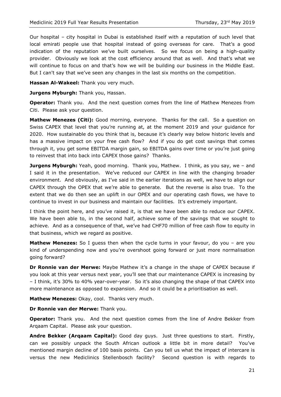Our hospital – city hospital in Dubai is established itself with a reputation of such level that local emirati people use that hospital instead of going overseas for care. That's a good indication of the reputation we've built ourselves. So we focus on being a high-quality provider. Obviously we look at the cost efficiency around that as well. And that's what we will continue to focus on and that's how we will be building our business in the Middle East. But I can't say that we've seen any changes in the last six months on the competition.

**Hassan Al-Wakeel:** Thank you very much.

**Jurgens Myburgh: Thank you, Hassan.** 

**Operator:** Thank you. And the next question comes from the line of Mathew Menezes from Citi. Please ask your question.

Mathew Menezes (Citi): Good morning, everyone. Thanks for the call. So a question on Swiss CAPEX that level that you're running at, at the moment 2019 and your guidance for 2020. How sustainable do you think that is, because it's clearly way below historic levels and has a massive impact on your free cash flow? And if you do get cost savings that comes through it, you get some EBITDA margin gain, so EBITDA gains over time or you're just going to reinvest that into back into CAPEX those gains? Thanks.

**Jurgens Myburgh:** Yeah, good morning. Thank you, Mathew. I think, as you say, we – and I said it in the presentation. We've reduced our CAPEX in line with the changing broader environment. And obviously, as I've said in the earlier iterations as well, we have to align our CAPEX through the OPEX that we're able to generate. But the reverse is also true. To the extent that we do then see an uplift in our OPEX and our operating cash flows, we have to continue to invest in our business and maintain our facilities. It's extremely important.

I think the point here, and you've raised it, is that we have been able to reduce our CAPEX. We have been able to, in the second half, achieve some of the savings that we sought to achieve. And as a consequence of that, we've had CHF70 million of free cash flow to equity in that business, which we regard as positive.

**Mathew Menezes:** So I quess then when the cycle turns in your favour, do you – are you kind of underspending now and you're overshoot going forward or just more normalisation going forward?

**Dr Ronnie van der Merwe:** Maybe Mathew it's a change in the shape of CAPEX because if you look at this year versus next year, you'll see that our maintenance CAPEX is increasing by – I think, it's 30% to 40% year-over-year. So it's also changing the shape of that CAPEX into more maintenance as opposed to expansion. And so it could be a prioritisation as well.

**Mathew Menezes:** Okay, cool. Thanks very much.

**Dr Ronnie van der Merwe:** Thank you.

**Operator:** Thank you. And the next question comes from the line of Andre Bekker from Arqaam Capital. Please ask your question.

**Andre Bekker (Arqaam Capital):** Good day guys. Just three questions to start. Firstly, can we possibly unpack the South African outlook a little bit in more detail? You've mentioned margin decline of 100 basis points. Can you tell us what the impact of intercare is versus the new Mediclinics Stellenbosch facility? Second question is with regards to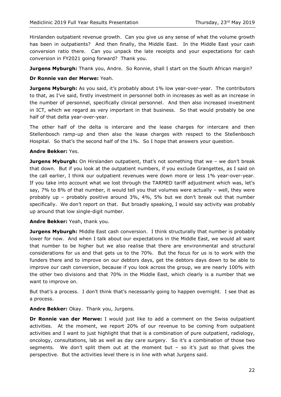Hirslanden outpatient revenue growth. Can you give us any sense of what the volume growth has been in outpatients? And then finally, the Middle East. In the Middle East your cash conversion ratio there. Can you unpack the late receipts and your expectations for cash conversion in FY2021 going forward? Thank you.

**Jurgens Myburgh:** Thank you, Andre. So Ronnie, shall I start on the South African margin?

## **Dr Ronnie van der Merwe:** Yeah.

**Jurgens Myburgh:** As you said, it's probably about 1% low year-over-year. The contributors to that, as I've said, firstly investment in personnel both in increases as well as an increase in the number of personnel, specifically clinical personnel. And then also increased investment in ICT, which we regard as very important in that business. So that would probably be one half of that delta year-over-year.

The other half of the delta is intercare and the lease charges for intercare and then Stellenbosch ramp-up and then also the lease charges with respect to the Stellenbosch Hospital. So that's the second half of the 1%. So I hope that answers your question.

#### **Andre Bekker:** Yes.

**Jurgens Myburgh:** On Hirslanden outpatient, that's not something that we - we don't break that down. But if you look at the outpatient numbers, if you exclude Grangettes, as I said on the call earlier, I think our outpatient revenues were down more or less 1% year-over-year. If you take into account what we lost through the TARMED tariff adjustment which was, let's say, 7% to 8% of that number, it would tell you that volumes were actually – well, they were probably up – probably positive around 3%, 4%, 5% but we don't break out that number specifically. We don't report on that. But broadly speaking, I would say activity was probably up around that low single-digit number.

#### **Andre Bekker:** Yeah, thank you.

**Jurgens Myburgh:** Middle East cash conversion. I think structurally that number is probably lower for now. And when I talk about our expectations in the Middle East, we would all want that number to be higher but we also realise that there are environmental and structural considerations for us and that gets us to the 70%. But the focus for us is to work with the funders there and to improve on our debtors days, get the debtors days down to be able to improve our cash conversion, because if you look across the group, we are nearly 100% with the other two divisions and that 70% in the Middle East, which clearly is a number that we want to improve on.

But that's a process. I don't think that's necessarily going to happen overnight. I see that as a process.

**Andre Bekker:** Okay. Thank you, Jurgens.

**Dr Ronnie van der Merwe:** I would just like to add a comment on the Swiss outpatient activities. At the moment, we report 20% of our revenue to be coming from outpatient activities and I want to just highlight that that is a combination of pure outpatient, radiology, oncology, consultations, lab as well as day care surgery. So it's a combination of those two segments. We don't split them out at the moment but  $-$  so it's just so that gives the perspective. But the activities level there is in line with what Jurgens said.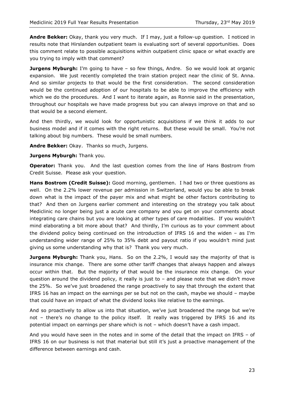**Andre Bekker:** Okay, thank you very much. If I may, just a follow-up question. I noticed in results note that Hirslanden outpatient team is evaluating sort of several opportunities. Does this comment relate to possible acquisitions within outpatient clinic space or what exactly are you trying to imply with that comment?

**Jurgens Myburgh:** I'm going to have - so few things, Andre. So we would look at organic expansion. We just recently completed the train station project near the clinic of St. Anna. And so similar projects to that would be the first consideration. The second consideration would be the continued adoption of our hospitals to be able to improve the efficiency with which we do the procedures. And I want to iterate again, as Ronnie said in the presentation, throughout our hospitals we have made progress but you can always improve on that and so that would be a second element.

And then thirdly, we would look for opportunistic acquisitions if we think it adds to our business model and if it comes with the right returns. But these would be small. You're not talking about big numbers. These would be small numbers.

**Andre Bekker:** Okay. Thanks so much, Jurgens.

**Jurgens Myburgh:** Thank you.

**Operator:** Thank you. And the last question comes from the line of Hans Bostrom from Credit Suisse. Please ask your question.

**Hans Bostrom (Credit Suisse):** Good morning, gentlemen. I had two or three questions as well. On the 2.2% lower revenue per admission in Switzerland, would you be able to break down what is the impact of the payer mix and what might be other factors contributing to that? And then on Jurgens earlier comment and interesting on the strategy you talk about Mediclinic no longer being just a acute care company and you get on your comments about integrating care chains but you are looking at other types of care modalities. If you wouldn't mind elaborating a bit more about that? And thirdly, I'm curious as to your comment about the dividend policy being continued on the introduction of IFRS 16 and the widen – as I'm understanding wider range of 25% to 35% debt and payout ratio if you wouldn't mind just giving us some understanding why that is? Thank you very much.

**Jurgens Myburgh:** Thank you, Hans. So on the 2.2%, I would say the majority of that is insurance mix change. There are some other tariff changes that always happen and always occur within that. But the majority of that would be the insurance mix change. On your question around the dividend policy, it really is just to  $-$  and please note that we didn't move the 25%. So we've just broadened the range proactively to say that through the extent that IFRS 16 has an impact on the earnings per se but not on the cash, maybe we should – maybe that could have an impact of what the dividend looks like relative to the earnings.

And so proactively to allow us into that situation, we've just broadened the range but we're not – there's no change to the policy itself. It really was triggered by IFRS 16 and its potential impact on earnings per share which is not – which doesn't have a cash impact.

And you would have seen in the notes and in some of the detail that the impact on IFRS – of IFRS 16 on our business is not that material but still it's just a proactive management of the difference between earnings and cash.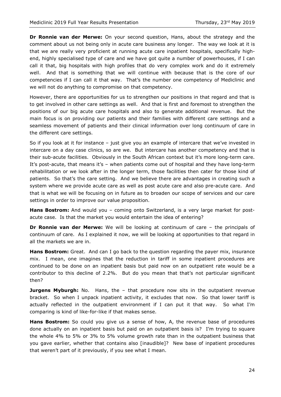**Dr Ronnie van der Merwe:** On your second question, Hans, about the strategy and the comment about us not being only in acute care business any longer. The way we look at it is that we are really very proficient at running acute care inpatient hospitals, specifically highend, highly specialised type of care and we have got quite a number of powerhouses, if I can call it that, big hospitals with high profiles that do very complex work and do it extremely well. And that is something that we will continue with because that is the core of our competencies if I can call it that way. That's the number one competency of Mediclinic and we will not do anything to compromise on that competency.

However, there are opportunities for us to strengthen our positions in that regard and that is to get involved in other care settings as well. And that is first and foremost to strengthen the positions of our big acute care hospitals and also to generate additional revenue. But the main focus is on providing our patients and their families with different care settings and a seamless movement of patients and their clinical information over long continuum of care in the different care settings.

So if you look at it for instance – just give you an example of intercare that we've invested in intercare on a day case clinics, so are we. But intercare has another competency and that is their sub-acute facilities. Obviously in the South African context but it's more long-term care. It's post-acute, that means it's – when patients come out of hospital and they have long-term rehabilitation or we look after in the longer term, those facilities then cater for those kind of patients. So that's the care setting. And we believe there are advantages in creating such a system where we provide acute care as well as post acute care and also pre-acute care. And that is what we will be focusing on in future as to broaden our scope of services and our care settings in order to improve our value proposition.

**Hans Bostrom:** And would you – coming onto Switzerland, is a very large market for postacute case. Is that the market you would entertain the idea of entering?

**Dr Ronnie van der Merwe:** We will be looking at continuum of care – the principals of continuum of care. As I explained it now, we will be looking at opportunities to that regard in all the markets we are in.

**Hans Bostrom:** Great. And can I go back to the question regarding the payer mix, insurance mix. I mean, one imagines that the reduction in tariff in some inpatient procedures are continued to be done on an inpatient basis but paid now on an outpatient rate would be a contributor to this decline of 2.2%. But do you mean that that's not particular significant then?

**Jurgens Myburgh:** No. Hans, the - that procedure now sits in the outpatient revenue bracket. So when I unpack inpatient activity, it excludes that now. So that lower tariff is actually reflected in the outpatient environment if I can put it that way. So what I'm comparing is kind of like-for-like if that makes sense.

**Hans Bostrom:** So could you give us a sense of how, A, the revenue base of procedures done actually on an inpatient basis but paid on an outpatient basis is? I'm trying to square the whole 4% to 5% or 3% to 5% volume growth rate than in the outpatient business that you gave earlier, whether that contains also [inaudible]? New base of inpatient procedures that weren't part of it previously, if you see what I mean.